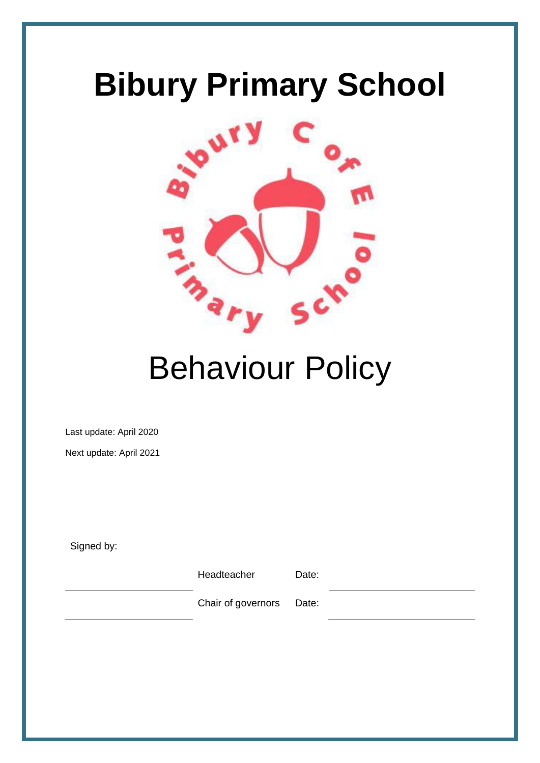# **Bibury Primary School**



# Behaviour Policy

Last update: April 2020

Next update: April 2021

Signed by:

Headteacher Date:

Chair of governors Date: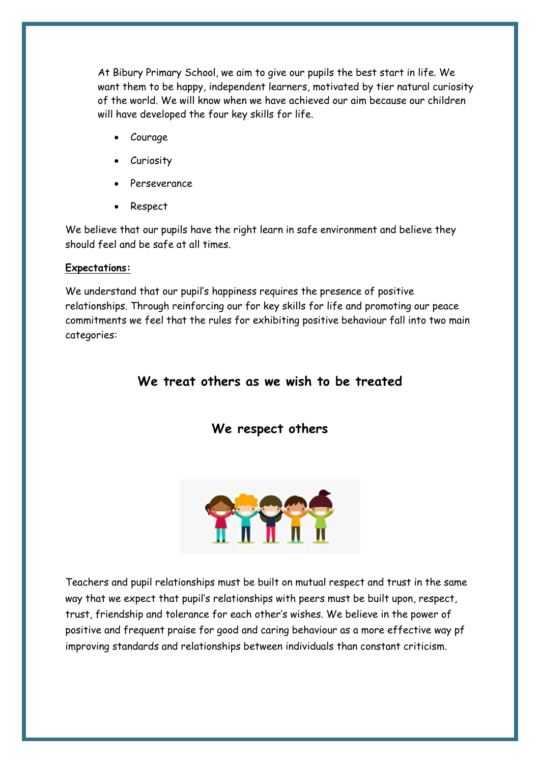At Bibury Primary School, we aim to give our pupils the best start in life. We want them to be happy, independent learners, motivated by tier natural curiosity of the world. We will know when we have achieved our aim because our children will have developed the four key skills for life.

- Courage
- Curiosity
- Perseverance
- Respect

We believe that our pupils have the right learn in safe environment and believe they should feel and be safe at all times.

# **Expectations:**

We understand that our pupil's happiness requires the presence of positive relationships. Through reinforcing our for key skills for life and promoting our peace commitments we feel that the rules for exhibiting positive behaviour fall into two main categories:

# **We treat others as we wish to be treated**

# **We respect others**



Teachers and pupil relationships must be built on mutual respect and trust in the same way that we expect that pupil's relationships with peers must be built upon, respect, trust, friendship and tolerance for each other's wishes. We believe in the power of positive and frequent praise for good and caring behaviour as a more effective way pf improving standards and relationships between individuals than constant criticism.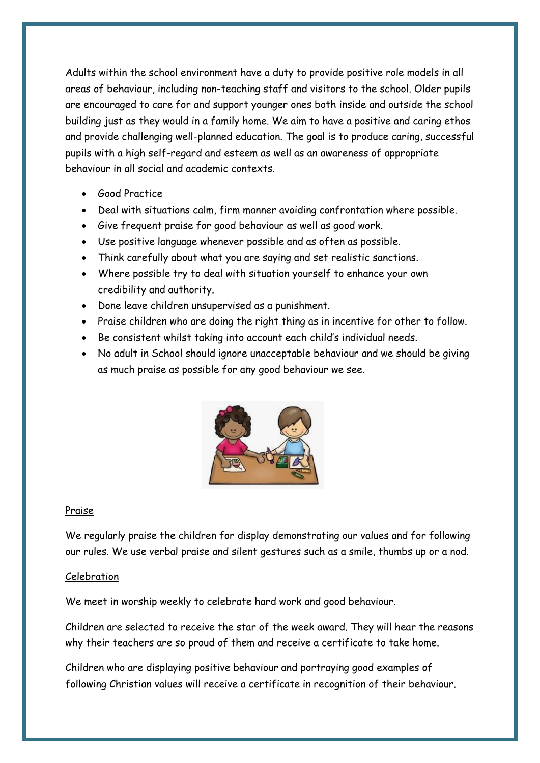Adults within the school environment have a duty to provide positive role models in all areas of behaviour, including non-teaching staff and visitors to the school. Older pupils are encouraged to care for and support younger ones both inside and outside the school building just as they would in a family home. We aim to have a positive and caring ethos and provide challenging well-planned education. The goal is to produce caring, successful pupils with a high self-regard and esteem as well as an awareness of appropriate behaviour in all social and academic contexts.

- Good Practice
- Deal with situations calm, firm manner avoiding confrontation where possible.
- Give frequent praise for good behaviour as well as good work.
- Use positive language whenever possible and as often as possible.
- Think carefully about what you are saying and set realistic sanctions.
- Where possible try to deal with situation yourself to enhance your own credibility and authority.
- Done leave children unsupervised as a punishment.
- Praise children who are doing the right thing as in incentive for other to follow.
- Be consistent whilst taking into account each child's individual needs.
- No adult in School should ignore unacceptable behaviour and we should be giving as much praise as possible for any good behaviour we see.



#### Praise

We regularly praise the children for display demonstrating our values and for following our rules. We use verbal praise and silent gestures such as a smile, thumbs up or a nod.

#### Celebration

We meet in worship weekly to celebrate hard work and good behaviour.

Children are selected to receive the star of the week award. They will hear the reasons why their teachers are so proud of them and receive a certificate to take home.

Children who are displaying positive behaviour and portraying good examples of following Christian values will receive a certificate in recognition of their behaviour.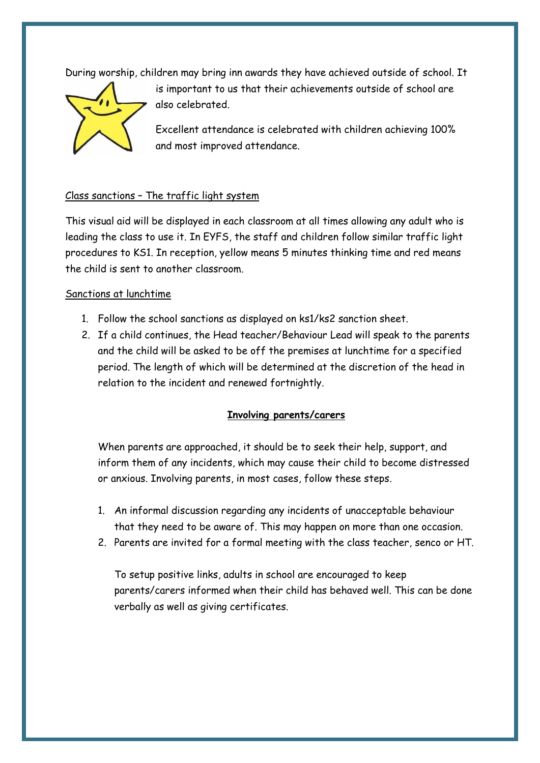During worship, children may bring inn awards they have achieved outside of school. It



is important to us that their achievements outside of school are also celebrated.

Excellent attendance is celebrated with children achieving 100% and most improved attendance.

# Class sanctions – The traffic light system

This visual aid will be displayed in each classroom at all times allowing any adult who is leading the class to use it. In EYFS, the staff and children follow similar traffic light procedures to KS1. In reception, yellow means 5 minutes thinking time and red means the child is sent to another classroom.

#### Sanctions at lunchtime

- 1. Follow the school sanctions as displayed on ks1/ks2 sanction sheet.
- 2. If a child continues, the Head teacher/Behaviour Lead will speak to the parents and the child will be asked to be off the premises at lunchtime for a specified period. The length of which will be determined at the discretion of the head in relation to the incident and renewed fortnightly.

### **Involving parents/carers**

When parents are approached, it should be to seek their help, support, and inform them of any incidents, which may cause their child to become distressed or anxious. Involving parents, in most cases, follow these steps.

- 1. An informal discussion regarding any incidents of unacceptable behaviour that they need to be aware of. This may happen on more than one occasion.
- 2. Parents are invited for a formal meeting with the class teacher, senco or HT.

To setup positive links, adults in school are encouraged to keep parents/carers informed when their child has behaved well. This can be done verbally as well as giving certificates.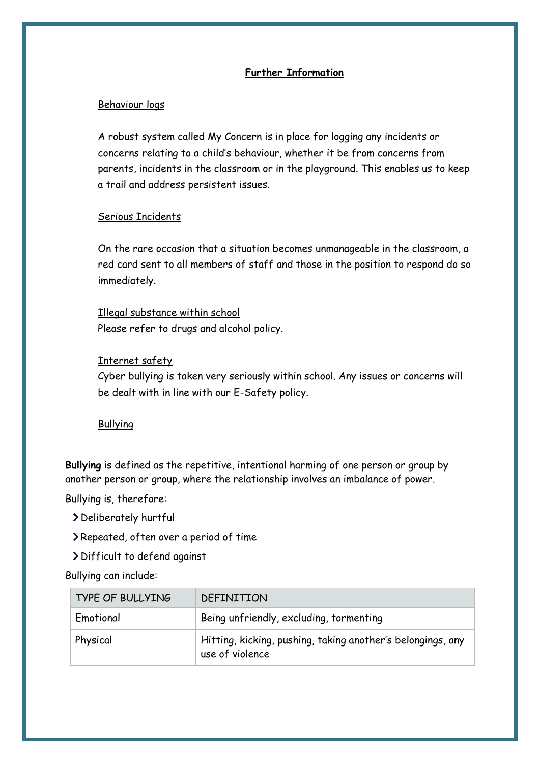## **Further Information**

#### Behaviour logs

A robust system called My Concern is in place for logging any incidents or concerns relating to a child's behaviour, whether it be from concerns from parents, incidents in the classroom or in the playground. This enables us to keep a trail and address persistent issues.

#### Serious Incidents

On the rare occasion that a situation becomes unmanageable in the classroom, a red card sent to all members of staff and those in the position to respond do so immediately.

Illegal substance within school Please refer to drugs and alcohol policy.

### Internet safety

Cyber bullying is taken very seriously within school. Any issues or concerns will be dealt with in line with our E-Safety policy.

### Bullying

**Bullying** is defined as the repetitive, intentional harming of one person or group by another person or group, where the relationship involves an imbalance of power.

Bullying is, therefore:

- Deliberately hurtful
- Repeated, often over a period of time
- Difficult to defend against

Bullying can include:

| <b>TYPE OF BULLYING</b> | DEFINITION                                                                     |
|-------------------------|--------------------------------------------------------------------------------|
| Emotional               | Being unfriendly, excluding, tormenting                                        |
| Physical                | Hitting, kicking, pushing, taking another's belongings, any<br>use of violence |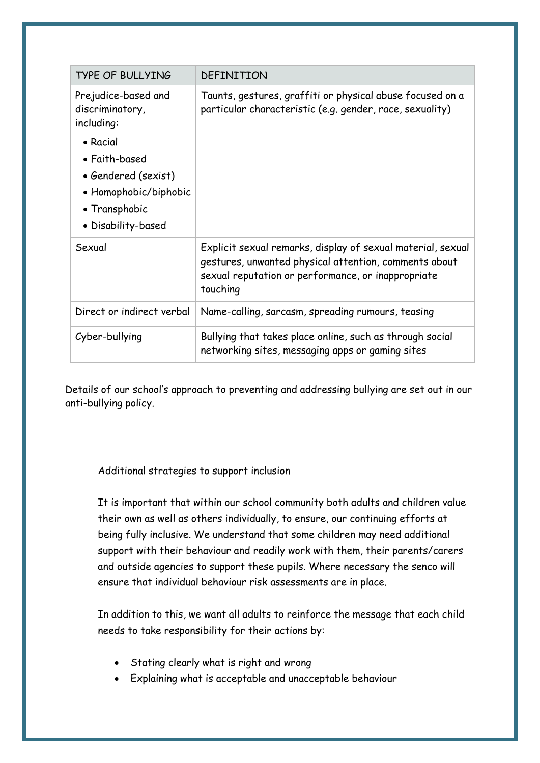| <b>TYPE OF BULLYING</b>                                                                                          | DEFINITION                                                                                                                                                                             |
|------------------------------------------------------------------------------------------------------------------|----------------------------------------------------------------------------------------------------------------------------------------------------------------------------------------|
| Prejudice-based and<br>discriminatory,<br>including:                                                             | Taunts, gestures, graffiti or physical abuse focused on a<br>particular characteristic (e.g. gender, race, sexuality)                                                                  |
| • Racial<br>• Faith-based<br>• Gendered (sexist)<br>• Homophobic/biphobic<br>• Transphobic<br>• Disability-based |                                                                                                                                                                                        |
| Sexual                                                                                                           | Explicit sexual remarks, display of sexual material, sexual<br>gestures, unwanted physical attention, comments about<br>sexual reputation or performance, or inappropriate<br>touching |
| Direct or indirect verbal                                                                                        | Name-calling, sarcasm, spreading rumours, teasing                                                                                                                                      |
| Cyber-bullying                                                                                                   | Bullying that takes place online, such as through social<br>networking sites, messaging apps or gaming sites                                                                           |

Details of our school's approach to preventing and addressing bullying are set out in our anti-bullying policy.

### Additional strategies to support inclusion

It is important that within our school community both adults and children value their own as well as others individually, to ensure, our continuing efforts at being fully inclusive. We understand that some children may need additional support with their behaviour and readily work with them, their parents/carers and outside agencies to support these pupils. Where necessary the senco will ensure that individual behaviour risk assessments are in place.

In addition to this, we want all adults to reinforce the message that each child needs to take responsibility for their actions by:

- Stating clearly what is right and wrong
- Explaining what is acceptable and unacceptable behaviour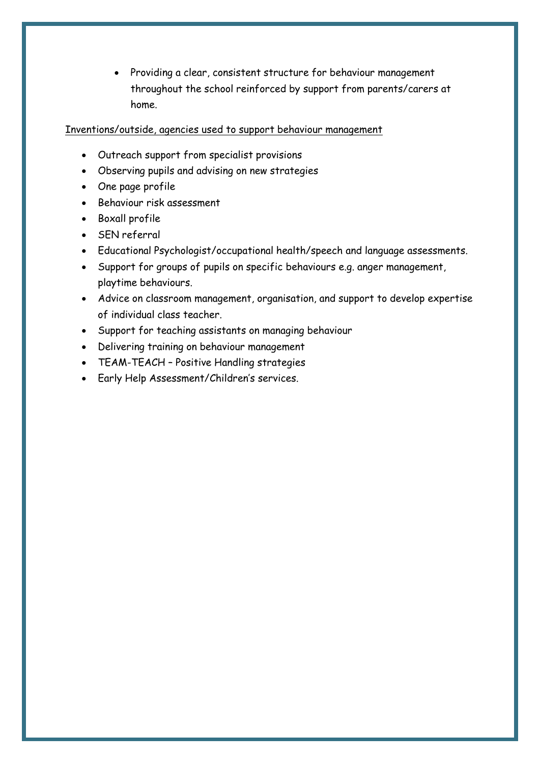• Providing a clear, consistent structure for behaviour management throughout the school reinforced by support from parents/carers at home.

### Inventions/outside, agencies used to support behaviour management

- Outreach support from specialist provisions
- Observing pupils and advising on new strategies
- One page profile
- Behaviour risk assessment
- Boxall profile
- SEN referral
- Educational Psychologist/occupational health/speech and language assessments.
- Support for groups of pupils on specific behaviours e.g. anger management, playtime behaviours.
- Advice on classroom management, organisation, and support to develop expertise of individual class teacher.
- Support for teaching assistants on managing behaviour
- Delivering training on behaviour management
- TEAM-TEACH Positive Handling strategies
- Early Help Assessment/Children's services.